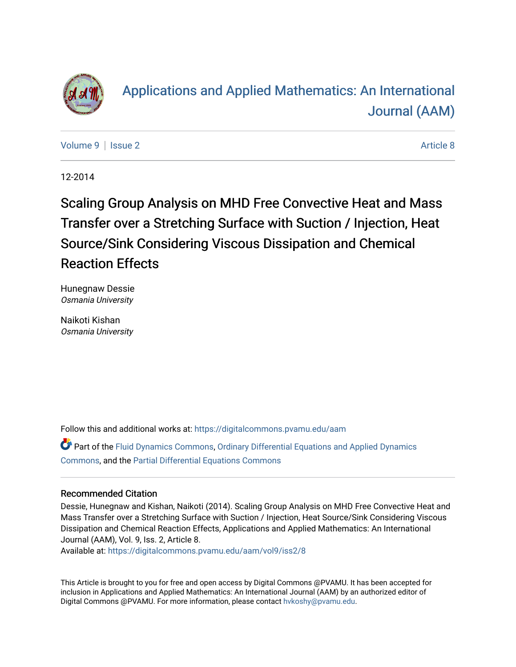

# [Applications and Applied Mathematics: An International](https://digitalcommons.pvamu.edu/aam)  [Journal \(AAM\)](https://digitalcommons.pvamu.edu/aam)

[Volume 9](https://digitalcommons.pvamu.edu/aam/vol9) | [Issue 2](https://digitalcommons.pvamu.edu/aam/vol9/iss2) Article 8

12-2014

Scaling Group Analysis on MHD Free Convective Heat and Mass Transfer over a Stretching Surface with Suction / Injection, Heat Source/Sink Considering Viscous Dissipation and Chemical Reaction Effects

Hunegnaw Dessie Osmania University

Naikoti Kishan Osmania University

Follow this and additional works at: [https://digitalcommons.pvamu.edu/aam](https://digitalcommons.pvamu.edu/aam?utm_source=digitalcommons.pvamu.edu%2Faam%2Fvol9%2Fiss2%2F8&utm_medium=PDF&utm_campaign=PDFCoverPages) 

Part of the [Fluid Dynamics Commons,](http://network.bepress.com/hgg/discipline/201?utm_source=digitalcommons.pvamu.edu%2Faam%2Fvol9%2Fiss2%2F8&utm_medium=PDF&utm_campaign=PDFCoverPages) [Ordinary Differential Equations and Applied Dynamics](http://network.bepress.com/hgg/discipline/121?utm_source=digitalcommons.pvamu.edu%2Faam%2Fvol9%2Fiss2%2F8&utm_medium=PDF&utm_campaign=PDFCoverPages)  [Commons](http://network.bepress.com/hgg/discipline/121?utm_source=digitalcommons.pvamu.edu%2Faam%2Fvol9%2Fiss2%2F8&utm_medium=PDF&utm_campaign=PDFCoverPages), and the [Partial Differential Equations Commons](http://network.bepress.com/hgg/discipline/120?utm_source=digitalcommons.pvamu.edu%2Faam%2Fvol9%2Fiss2%2F8&utm_medium=PDF&utm_campaign=PDFCoverPages) 

#### Recommended Citation

Dessie, Hunegnaw and Kishan, Naikoti (2014). Scaling Group Analysis on MHD Free Convective Heat and Mass Transfer over a Stretching Surface with Suction / Injection, Heat Source/Sink Considering Viscous Dissipation and Chemical Reaction Effects, Applications and Applied Mathematics: An International Journal (AAM), Vol. 9, Iss. 2, Article 8.

Available at: [https://digitalcommons.pvamu.edu/aam/vol9/iss2/8](https://digitalcommons.pvamu.edu/aam/vol9/iss2/8?utm_source=digitalcommons.pvamu.edu%2Faam%2Fvol9%2Fiss2%2F8&utm_medium=PDF&utm_campaign=PDFCoverPages) 

This Article is brought to you for free and open access by Digital Commons @PVAMU. It has been accepted for inclusion in Applications and Applied Mathematics: An International Journal (AAM) by an authorized editor of Digital Commons @PVAMU. For more information, please contact [hvkoshy@pvamu.edu.](mailto:hvkoshy@pvamu.edu)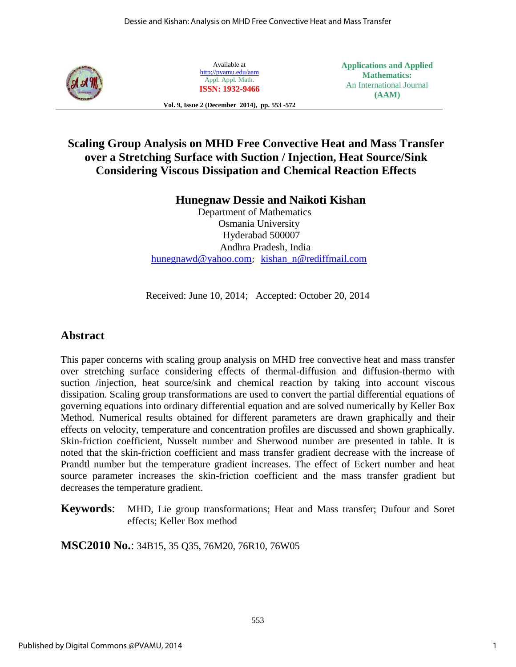

Available at <http://pvamu.edu/aam> Appl. Appl. Math. **ISSN: 1932-9466** **Applications and Applied Mathematics:**  An International Journal **(AAM)**

**Vol. 9, Issue 2 (December 2014), pp. 553 -572**

# **Scaling Group Analysis on MHD Free Convective Heat and Mass Transfer over a Stretching Surface with Suction / Injection, Heat Source/Sink Considering Viscous Dissipation and Chemical Reaction Effects**

### **Hunegnaw Dessie and Naikoti Kishan**

 Department of Mathematics Osmania University Hyderabad 500007 Andhra Pradesh, India [hunegnawd@yahoo.com](mailto:hunegnawd@yahoo.com); [kishan\\_n@rediffmail.com](mailto:kishan_n@rediffmail.com)

Received: June 10, 2014; Accepted: October 20, 2014

## **Abstract**

This paper concerns with scaling group analysis on MHD free convective heat and mass transfer over stretching surface considering effects of thermal-diffusion and diffusion-thermo with suction /injection, heat source/sink and chemical reaction by taking into account viscous dissipation. Scaling group transformations are used to convert the partial differential equations of governing equations into ordinary differential equation and are solved numerically by Keller Box Method. Numerical results obtained for different parameters are drawn graphically and their effects on velocity, temperature and concentration profiles are discussed and shown graphically. Skin-friction coefficient, Nusselt number and Sherwood number are presented in table. It is noted that the skin-friction coefficient and mass transfer gradient decrease with the increase of Prandtl number but the temperature gradient increases. The effect of Eckert number and heat source parameter increases the skin-friction coefficient and the mass transfer gradient but decreases the temperature gradient.

**Keywords**: MHD, Lie group transformations; Heat and Mass transfer; Dufour and Soret effects; Keller Box method

**MSC2010 No.**: 34B15, 35 Q35, 76M20, 76R10, 76W05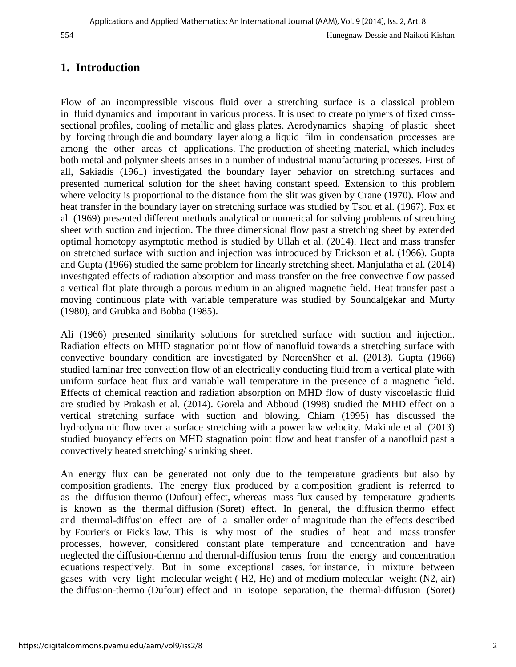# **1. Introduction**

Flow of an incompressible viscous fluid over a stretching surface is a classical problem in fluid dynamics and important in various process. It is used to create polymers of fixed crosssectional profiles, cooling of metallic and glass plates. Aerodynamics shaping of plastic sheet by forcing through die and boundary layer along a liquid film in condensation processes are among the other areas of applications. The production of sheeting material, which includes both metal and polymer sheets arises in a number of industrial manufacturing processes. First of all, Sakiadis (1961) investigated the boundary layer behavior on stretching surfaces and presented numerical solution for the sheet having constant speed. Extension to this problem where velocity is proportional to the distance from the slit was given by Crane (1970). Flow and heat transfer in the boundary layer on stretching surface was studied by Tsou et al. (1967). Fox et al. (1969) presented different methods analytical or numerical for solving problems of stretching sheet with suction and injection. The three dimensional flow past a stretching sheet by extended optimal homotopy asymptotic method is studied by Ullah et al. (2014). Heat and mass transfer on stretched surface with suction and injection was introduced by Erickson et al. (1966). Gupta and Gupta (1966) studied the same problem for linearly stretching sheet. Manjulatha et al. (2014) investigated effects of radiation absorption and mass transfer on the free convective flow passed a vertical flat plate through a porous medium in an aligned magnetic field. Heat transfer past a moving continuous plate with variable temperature was studied by Soundalgekar and Murty (1980), and Grubka and Bobba (1985).

Ali (1966) presented similarity solutions for stretched surface with suction and injection. Radiation effects on MHD stagnation point flow of nanofluid towards a stretching surface with convective boundary condition are investigated by NoreenSher et al. (2013). Gupta (1966) studied laminar free convection flow of an electrically conducting fluid from a vertical plate with uniform surface heat flux and variable wall temperature in the presence of a magnetic field. Effects of chemical reaction and radiation absorption on MHD flow of dusty viscoelastic fluid are studied by Prakash et al. (2014). Gorela and Abboud (1998) studied the MHD effect on a vertical stretching surface with suction and blowing. Chiam (1995) has discussed the hydrodynamic flow over a surface stretching with a power law velocity. Makinde et al. (2013) studied buoyancy effects on MHD stagnation point flow and heat transfer of a nanofluid past a convectively heated stretching/ shrinking sheet.

An energy flux can be generated not only due to the temperature gradients but also by composition gradients. The energy flux produced by a composition gradient is referred to as the diffusion thermo (Dufour) effect, whereas mass flux caused by temperature gradients is known as the thermal diffusion (Soret) effect. In general, the diffusion thermo effect and thermal-diffusion effect are of a smaller order of magnitude than the effects described by Fourier's or Fick's law. This is why most of the studies of heat and mass transfer processes, however, considered constant plate temperature and concentration and have neglected the diffusion-thermo and thermal-diffusion terms from the energy and concentration equations respectively. But in some exceptional cases, for instance, in mixture between gases with very light molecular weight ( H2, He) and of medium molecular weight (N2, air) the diffusion-thermo (Dufour) effect and in isotope separation, the thermal-diffusion (Soret)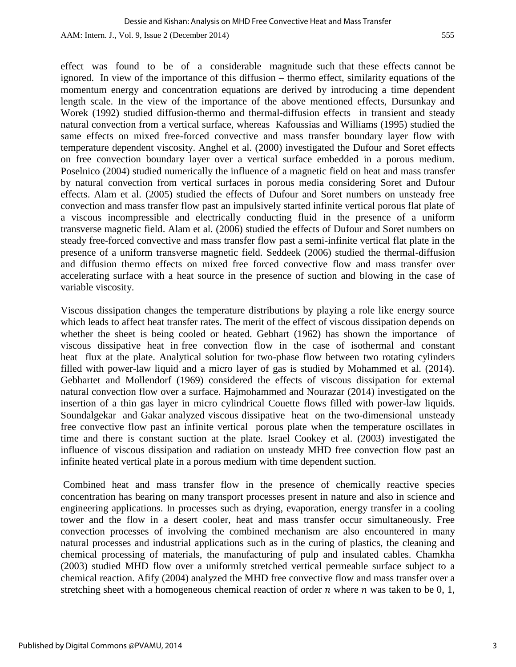effect was found to be of a considerable magnitude such that these effects cannot be ignored. In view of the importance of this diffusion – thermo effect, similarity equations of the momentum energy and concentration equations are derived by introducing a time dependent length scale. In the view of the importance of the above mentioned effects, Dursunkay and Worek (1992) studied diffusion-thermo and thermal-diffusion effects in transient and steady natural convection from a vertical surface, whereas Kafoussias and Williams (1995) studied the same effects on mixed free-forced convective and mass transfer boundary layer flow with temperature dependent viscosity. Anghel et al. (2000) investigated the Dufour and Soret effects on free convection boundary layer over a vertical surface embedded in a porous medium. Poselnico (2004) studied numerically the influence of a magnetic field on heat and mass transfer by natural convection from vertical surfaces in porous media considering Soret and Dufour effects. Alam et al. (2005) studied the effects of Dufour and Soret numbers on unsteady free convection and mass transfer flow past an impulsively started infinite vertical porous flat plate of a viscous incompressible and electrically conducting fluid in the presence of a uniform transverse magnetic field. Alam et al. (2006) studied the effects of Dufour and Soret numbers on steady free-forced convective and mass transfer flow past a semi-infinite vertical flat plate in the presence of a uniform transverse magnetic field. Seddeek (2006) studied the thermal-diffusion and diffusion thermo effects on mixed free forced convective flow and mass transfer over accelerating surface with a heat source in the presence of suction and blowing in the case of variable viscosity.

Viscous dissipation changes the temperature distributions by playing a role like energy source which leads to affect heat transfer rates. The merit of the effect of viscous dissipation depends on whether the sheet is being cooled or heated. Gebhart (1962) has shown the importance of viscous dissipative heat in free convection flow in the case of isothermal and constant heat flux at the plate. Analytical solution for two-phase flow between two rotating cylinders filled with power-law liquid and a micro layer of gas is studied by Mohammed et al. (2014). Gebhartet and Mollendorf (1969) considered the effects of viscous dissipation for external natural convection flow over a surface. Hajmohammed and Nourazar (2014) investigated on the insertion of a thin gas layer in micro cylindrical Couette flows filled with power-law liquids. Soundalgekar and Gakar analyzed viscous dissipative heat on the two-dimensional unsteady free convective flow past an infinite vertical porous plate when the temperature oscillates in time and there is constant suction at the plate. Israel Cookey et al. (2003) investigated the influence of viscous dissipation and radiation on unsteady MHD free convection flow past an infinite heated vertical plate in a porous medium with time dependent suction.

Combined heat and mass transfer flow in the presence of chemically reactive species concentration has bearing on many transport processes present in nature and also in science and engineering applications. In processes such as drying, evaporation, energy transfer in a cooling tower and the flow in a desert cooler, heat and mass transfer occur simultaneously. Free convection processes of involving the combined mechanism are also encountered in many natural processes and industrial applications such as in the curing of plastics, the cleaning and chemical processing of materials, the manufacturing of pulp and insulated cables. Chamkha (2003) studied MHD flow over a uniformly stretched vertical permeable surface subject to a chemical reaction. Afify (2004) analyzed the MHD free convective flow and mass transfer over a stretching sheet with a homogeneous chemical reaction of order  $n$  where  $n$  was taken to be 0, 1,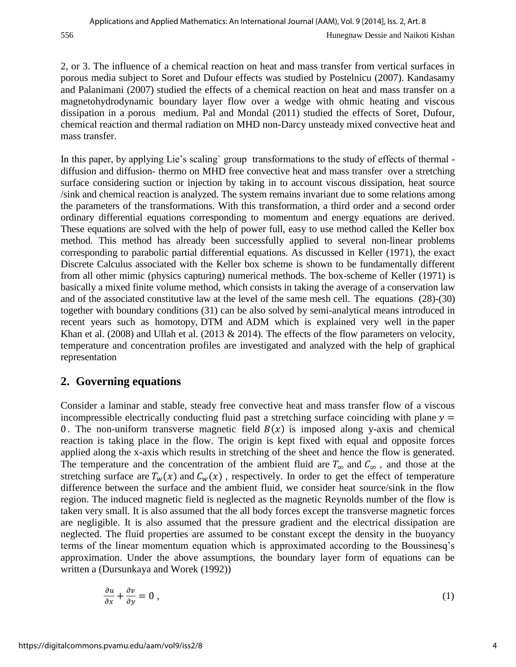2, or 3. The influence of a chemical reaction on heat and mass transfer from vertical surfaces in porous media subject to Soret and Dufour effects was studied by Postelnicu (2007). Kandasamy and Palanimani (2007) studied the effects of a chemical reaction on heat and mass transfer on a magnetohydrodynamic boundary layer flow over a wedge with ohmic heating and viscous dissipation in a porous medium. Pal and Mondal (2011) studied the effects of Soret, Dufour, chemical reaction and thermal radiation on MHD non-Darcy unsteady mixed convective heat and mass transfer.

In this paper, by applying Lie's scaling` group transformations to the study of effects of thermal diffusion and diffusion- thermo on MHD free convective heat and mass transfer over a stretching surface considering suction or injection by taking in to account viscous dissipation, heat source /sink and chemical reaction is analyzed. The system remains invariant due to some relations among the parameters of the transformations. With this transformation, a third order and a second order ordinary differential equations corresponding to momentum and energy equations are derived. These equations are solved with the help of power full, easy to use method called the Keller box method. This method has already been successfully applied to several non-linear problems corresponding to parabolic partial differential equations. As discussed in Keller (1971), the exact Discrete Calculus associated with the Keller box scheme is shown to be fundamentally different from all other mimic (physics capturing) numerical methods. The box-scheme of Keller (1971) is basically a mixed finite volume method, which consists in taking the average of a conservation law and of the associated constitutive law at the level of the same mesh cell. The equations (28)-(30) together with boundary conditions (31) can be also solved by semi-analytical means introduced in recent years such as homotopy, DTM and ADM which is explained very well in the paper Khan et al. (2008) and Ullah et al. (2013 & 2014). The effects of the flow parameters on velocity, temperature and concentration profiles are investigated and analyzed with the help of graphical representation

# **2. Governing equations**

Consider a laminar and stable, steady free convective heat and mass transfer flow of a viscous incompressible electrically conducting fluid past a stretching surface coinciding with plane  $y =$ 0. The non-uniform transverse magnetic field  $B(x)$  is imposed along y-axis and chemical reaction is taking place in the flow. The origin is kept fixed with equal and opposite forces applied along the x-axis which results in stretching of the sheet and hence the flow is generated. The temperature and the concentration of the ambient fluid are  $T_{\infty}$  and  $C_{\infty}$ , and those at the stretching surface are  $T_w(x)$  and  $C_w(x)$ , respectively. In order to get the effect of temperature difference between the surface and the ambient fluid, we consider heat source/sink in the flow region. The induced magnetic field is neglected as the magnetic Reynolds number of the flow is taken very small. It is also assumed that the all body forces except the transverse magnetic forces are negligible. It is also assumed that the pressure gradient and the electrical dissipation are neglected. The fluid properties are assumed to be constant except the density in the buoyancy terms of the linear momentum equation which is approximated according to the Boussinesq's approximation. Under the above assumptions, the boundary layer form of equations can be written a (Dursunkaya and Worek (1992))

$$
\frac{\partial u}{\partial x} + \frac{\partial v}{\partial y} = 0 \tag{1}
$$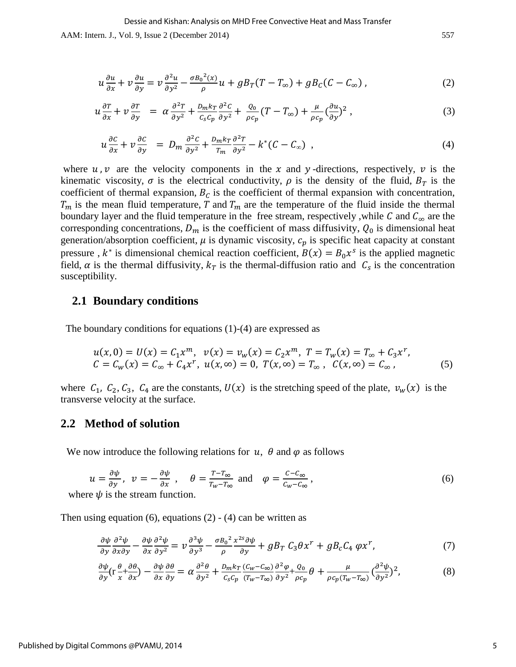$$
u\frac{\partial u}{\partial x} + v\frac{\partial u}{\partial y} = v\frac{\partial^2 u}{\partial y^2} - \frac{\sigma B_0^2(x)}{\rho}u + gB_T(T - T_\infty) + gB_C(C - C_\infty),\tag{2}
$$

$$
u\frac{\partial T}{\partial x} + v\frac{\partial T}{\partial y} = \alpha \frac{\partial^2 T}{\partial y^2} + \frac{D_m k_T}{c_s c_p} \frac{\partial^2 C}{\partial y^2} + \frac{Q_0}{\rho c_p} (T - T_\infty) + \frac{\mu}{\rho c_p} (\frac{\partial u}{\partial y})^2 , \qquad (3)
$$

$$
u\frac{\partial c}{\partial x} + v\frac{\partial c}{\partial y} = D_m \frac{\partial^2 c}{\partial y^2} + \frac{D_m k_T}{T_m} \frac{\partial^2 T}{\partial y^2} - k^* (C - C_\infty) \tag{4}
$$

where u, v are the velocity components in the x and y-directions, respectively, v is the kinematic viscosity,  $\sigma$  is the electrical conductivity,  $\rho$  is the density of the fluid,  $B_T$  is the coefficient of thermal expansion,  $B_c$  is the coefficient of thermal expansion with concentration,  $T_m$  is the mean fluid temperature, T and  $T_m$  are the temperature of the fluid inside the thermal boundary layer and the fluid temperature in the free stream, respectively, while C and  $C_{\infty}$  are the corresponding concentrations,  $D_m$  is the coefficient of mass diffusivity,  $Q_0$  is dimensional heat generation/absorption coefficient,  $\mu$  is dynamic viscosity,  $c_p$  is specific heat capacity at constant pressure,  $k^*$  is dimensional chemical reaction coefficient,  $B(x) = B_0 x^s$  is the applied magnetic field,  $\alpha$  is the thermal diffusivity,  $k<sub>T</sub>$  is the thermal-diffusion ratio and  $C<sub>s</sub>$  is the concentration susceptibility.

#### **2.1 Boundary conditions**

The boundary conditions for equations (1)-(4) are expressed as

$$
u(x, 0) = U(x) = C_1 x^m, \quad v(x) = v_w(x) = C_2 x^m, \quad T = T_w(x) = T_\infty + C_3 x^r,
$$
  

$$
C = C_w(x) = C_\infty + C_4 x^r, \quad u(x, \infty) = 0, \quad T(x, \infty) = T_\infty, \quad C(x, \infty) = C_\infty,
$$
 (5)

where  $C_1$ ,  $C_2$ ,  $C_3$ ,  $C_4$  are the constants,  $U(x)$  is the stretching speed of the plate,  $v_w(x)$  is the transverse velocity at the surface.

#### **2.2 Method of solution**

We now introduce the following relations for  $u$ ,  $\theta$  and  $\varphi$  as follows

$$
u = \frac{\partial \psi}{\partial y}, \quad v = -\frac{\partial \psi}{\partial x}, \quad \theta = \frac{T - T_{\infty}}{T_w - T_{\infty}} \text{ and } \quad \varphi = \frac{c - c_{\infty}}{c_w - c_{\infty}}, \tag{6}
$$

where  $\psi$  is the stream function.

Then using equation  $(6)$ , equations  $(2)$  -  $(4)$  can be written as

$$
\frac{\partial \psi}{\partial y} \frac{\partial^2 \psi}{\partial x \partial y} - \frac{\partial \psi}{\partial x} \frac{\partial^2 \psi}{\partial y^2} = \nu \frac{\partial^3 \psi}{\partial y^3} - \frac{\sigma B_0^2}{\rho} \frac{x^{2s} \partial \psi}{\partial y} + g B_T C_3 \theta x^r + g B_c C_4 \varphi x^r,\tag{7}
$$

$$
\frac{\partial \psi}{\partial y} \left( r \frac{\theta}{x} + \frac{\partial \theta}{\partial x} \right) - \frac{\partial \psi}{\partial x} \frac{\partial \theta}{\partial y} = \alpha \frac{\partial^2 \theta}{\partial y^2} + \frac{D_m k_T}{c_s c_p} \frac{(c_w - c_\infty)}{(T_w - T_\infty)} \frac{\partial^2 \varphi}{\partial y^2} + \frac{Q_0}{\rho c_p} \theta + \frac{\mu}{\rho c_p (T_w - T_\infty)} \left( \frac{\partial^2 \psi}{\partial y^2} \right)^2,\tag{8}
$$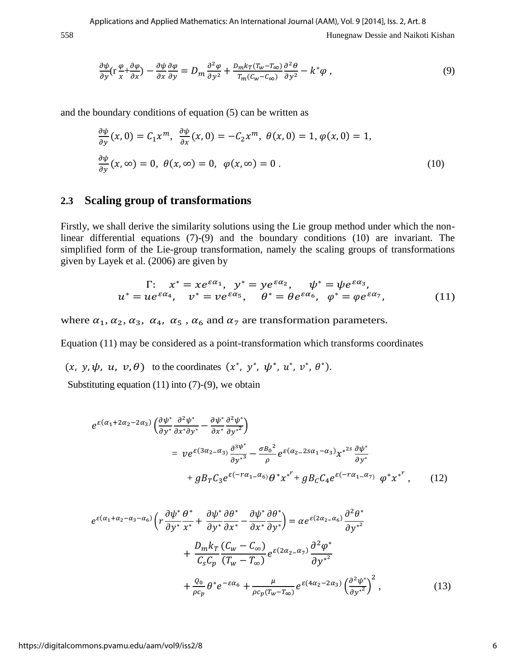558 Hunegnaw Dessie and Naikoti Kishan

$$
\frac{\partial \psi}{\partial y} \left( r \frac{\varphi}{x} + \frac{\partial \varphi}{\partial x} \right) - \frac{\partial \psi}{\partial x} \frac{\partial \varphi}{\partial y} = D_m \frac{\partial^2 \varphi}{\partial y^2} + \frac{D_m k_T (T_w - T_\infty)}{T_m (C_w - C_\infty)} \frac{\partial^2 \theta}{\partial y^2} - k^* \varphi \,, \tag{9}
$$

and the boundary conditions of equation (5) can be written as

$$
\frac{\partial \psi}{\partial y}(x,0) = C_1 x^m, \quad \frac{\partial \psi}{\partial x}(x,0) = -C_2 x^m, \quad \theta(x,0) = 1, \quad \varphi(x,0) = 1,
$$
  

$$
\frac{\partial \psi}{\partial y}(x,\infty) = 0, \quad \theta(x,\infty) = 0, \quad \varphi(x,\infty) = 0.
$$
 (10)

### **2.3 Scaling group of transformations**

Firstly, we shall derive the similarity solutions using the Lie group method under which the nonlinear differential equations (7)-(9) and the boundary conditions (10) are invariant. The simplified form of the Lie-group transformation, namely the scaling groups of transformations given by Layek et al. (2006) are given by

$$
\Gamma: \quad x^* = xe^{\varepsilon \alpha_1}, \quad y^* = ye^{\varepsilon \alpha_2}, \quad \psi^* = \psi e^{\varepsilon \alpha_3},
$$

$$
u^* = ue^{\varepsilon \alpha_4}, \quad v^* = ve^{\varepsilon \alpha_5}, \quad \theta^* = \theta e^{\varepsilon \alpha_6}, \quad \varphi^* = \varphi e^{\varepsilon \alpha_7}, \tag{11}
$$

where  $\alpha_1, \alpha_2, \alpha_3, \alpha_4, \alpha_5, \alpha_6$  and  $\alpha_7$  are transformation parameters.

Equation (11) may be considered as a point-transformation which transforms coordinates

 $(x, y, \psi, u, v, \theta)$  to the coordinates  $(x^*, y^*, \psi^*, u^*, v^*, \theta^*)$ .

Substituting equation  $(11)$  into  $(7)-(9)$ , we obtain

$$
e^{\varepsilon(\alpha_1+2\alpha_2-2\alpha_3)} \left(\frac{\partial \psi^*}{\partial y^*} \frac{\partial^2 \psi^*}{\partial x^* \partial y^*} - \frac{\partial \psi^*}{\partial x^*} \frac{\partial^2 \psi^*}{\partial y^*} \right)
$$
  
= 
$$
v e^{\varepsilon(3\alpha_2-\alpha_3)} \frac{\partial^{3\psi^*}}{\partial y^*} - \frac{\sigma B_0^2}{\rho} e^{\varepsilon(\alpha_2-2s\alpha_1-\alpha_3)} x^{*2s} \frac{\partial \psi^*}{\partial y^*}
$$

$$
+ g B_T C_3 e^{\varepsilon(-r\alpha_1-\alpha_6)} \theta^* x^{*^T} + g B_C C_4 e^{\varepsilon(-r\alpha_1-\alpha_7)} \varphi^* x^{*^T}, \qquad (12)
$$

$$
e^{\varepsilon(\alpha_1 + \alpha_2 - \alpha_3 - \alpha_6)} \left( r \frac{\partial \psi^*}{\partial y^*} \frac{\partial^*}{\partial x^*} + \frac{\partial \psi^*}{\partial y^*} \frac{\partial \theta^*}{\partial x^*} - \frac{\partial \psi^*}{\partial x^*} \frac{\partial \theta^*}{\partial y^*} \right) = \alpha e^{\varepsilon(2\alpha_2 - \alpha_6)} \frac{\partial^2 \theta^*}{\partial y^{*2}} + \frac{D_m k_T}{C_s C_p} \frac{(C_w - C_\infty)}{(T_w - T_\infty)} e^{\varepsilon(2\alpha_2 - \alpha_7)} \frac{\partial^2 \varphi^*}{\partial y^{*2}} + \frac{Q_0}{\rho c_p} \theta^* e^{-\varepsilon \alpha_6} + \frac{\mu}{\rho c_p (T_w - T_\infty)} e^{\varepsilon(4\alpha_2 - 2\alpha_3)} \left( \frac{\partial^2 \psi^*}{\partial y^{*2}} \right)^2,
$$
(13)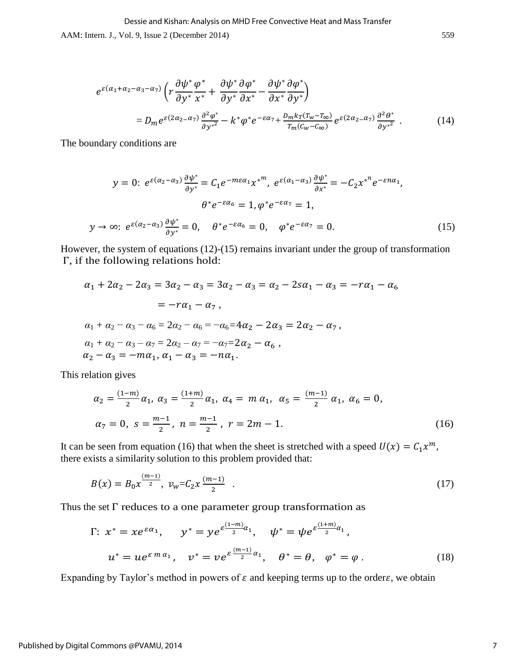$$
e^{\varepsilon(\alpha_1 + \alpha_2 - \alpha_3 - \alpha_7)} \left( r \frac{\partial \psi^*}{\partial y^*} \frac{\phi^*}{x^*} + \frac{\partial \psi^*}{\partial y^*} \frac{\partial \phi^*}{\partial x^*} - \frac{\partial \psi^*}{\partial x^*} \frac{\partial \phi^*}{\partial y^*} \right)
$$
  
= 
$$
D_m e^{\varepsilon(2\alpha_2 - \alpha_7)} \frac{\partial^2 \phi^*}{\partial y^*^2} - k^* \phi^* e^{-\varepsilon\alpha_7} + \frac{D_m k_T (T_w - T_\infty)}{T_m (C_w - C_\infty)} e^{\varepsilon(2\alpha_2 - \alpha_7)} \frac{\partial^2 \theta^*}{\partial y^*^2} .
$$
 (14)

The boundary conditions are

$$
y = 0: e^{\varepsilon(\alpha_2 - \alpha_3)} \frac{\partial \psi^*}{\partial y^*} = C_1 e^{-m\varepsilon \alpha_1} x^{*^m}, e^{\varepsilon(\alpha_1 - \alpha_3)} \frac{\partial \psi^*}{\partial x^*} = -C_2 x^{*^n} e^{-\varepsilon n \alpha_1},
$$
  
\n
$$
\theta^* e^{-\varepsilon \alpha_6} = 1, \varphi^* e^{-\varepsilon \alpha_7} = 1,
$$
  
\n
$$
y \to \infty: e^{\varepsilon(\alpha_2 - \alpha_3)} \frac{\partial \psi^*}{\partial y^*} = 0, \quad \theta^* e^{-\varepsilon \alpha_6} = 0, \quad \varphi^* e^{-\varepsilon \alpha_7} = 0.
$$
 (15)

However, the system of equations (12)-(15) remains invariant under the group of transformation  $\Gamma$ , if the following relations hold:

$$
\alpha_1 + 2\alpha_2 - 2\alpha_3 = 3\alpha_2 - \alpha_3 = 3\alpha_2 - \alpha_3 = \alpha_2 - 2s\alpha_1 - \alpha_3 = -r\alpha_1 - \alpha_6
$$
  

$$
= -r\alpha_1 - \alpha_7,
$$
  

$$
\alpha_1 + \alpha_2 - \alpha_3 - \alpha_6 = 2\alpha_2 - \alpha_6 = -\alpha_6 = 4\alpha_2 - 2\alpha_3 = 2\alpha_2 - \alpha_7,
$$
  

$$
\alpha_1 + \alpha_2 - \alpha_3 - \alpha_7 = 2\alpha_2 - \alpha_7 = -\alpha_7 = 2\alpha_2 - \alpha_6,
$$
  

$$
\alpha_2 - \alpha_3 = -m\alpha_1, \alpha_1 - \alpha_3 = -n\alpha_1.
$$

This relation gives

$$
\alpha_2 = \frac{(1-m)}{2} \alpha_1, \ \alpha_3 = \frac{(1+m)}{2} \alpha_1, \ \alpha_4 = m \alpha_1, \ \alpha_5 = \frac{(m-1)}{2} \alpha_1, \ \alpha_6 = 0,
$$
\n
$$
\alpha_7 = 0, \ \ s = \frac{m-1}{2}, \ n = \frac{m-1}{2}, \ r = 2m - 1.
$$
\n(16)

It can be seen from equation (16) that when the sheet is stretched with a speed  $U(x) = C_1 x^m$ there exists a similarity solution to this problem provided that:

$$
B(x) = B_0 x^{\frac{(m-1)}{2}}, \ v_w = C_2 x^{\frac{(m-1)}{2}} \ . \tag{17}
$$

Thus the set  $\Gamma$  reduces to a one parameter group transformation as

$$
\Gamma: x^* = xe^{\varepsilon \alpha_1}, \qquad y^* = ye^{\varepsilon \frac{(1-m)}{2} \alpha_1}, \qquad \psi^* = \psi e^{\varepsilon \frac{(1+m)}{2} \alpha_1},
$$

$$
u^* = ue^{\varepsilon m \alpha_1}, \qquad v^* = ve^{\varepsilon \frac{(m-1)}{2} \alpha_1}, \qquad \theta^* = \theta, \qquad \varphi^* = \varphi.
$$
 (18)

Expanding by Taylor's method in powers of  $\varepsilon$  and keeping terms up to the order $\varepsilon$ , we obtain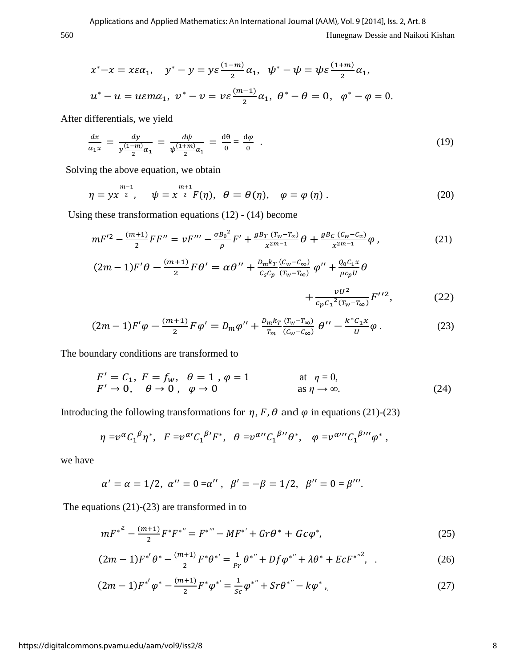560 Hunegnaw Dessie and Naikoti Kishan

$$
x^* - x = x\varepsilon \alpha_1, \quad y^* - y = y\varepsilon \frac{(1-m)}{2} \alpha_1, \quad \psi^* - \psi = \psi \varepsilon \frac{(1+m)}{2} \alpha_1,
$$
  

$$
u^* - u = u\varepsilon m \alpha_1, \quad v^* - v = v\varepsilon \frac{(m-1)}{2} \alpha_1, \quad \theta^* - \theta = 0, \quad \varphi^* - \varphi = 0.
$$

After differentials, we yield

$$
\frac{dx}{\alpha_1 x} = \frac{dy}{y(\frac{1-m}{2})\alpha_1} = \frac{d\psi}{\psi(\frac{1+m}{2})\alpha_1} = \frac{d\theta}{0} = \frac{d\phi}{0} \quad . \tag{19}
$$

Solving the above equation, we obtain

$$
\eta = y x^{\frac{m-1}{2}}, \quad \psi = x^{\frac{m+1}{2}} F(\eta), \quad \theta = \theta(\eta), \quad \varphi = \varphi(\eta). \tag{20}
$$

Using these transformation equations (12) - (14) become

$$
mF'^{2} - \frac{(m+1)}{2}FF'' = vF''' - \frac{\sigma B_{0}^{2}}{\rho}F' + \frac{g_{B_{T}}(T_{w} - T_{\infty})}{x^{2m-1}}\theta + \frac{g_{B_{C}}(C_{w} - C_{\infty})}{x^{2m-1}}\varphi ,
$$
\n(21)

$$
(2m-1)F'\theta - \frac{(m+1)}{2}F\theta' = \alpha\theta'' + \frac{D_{m}k_{T}}{c_{s}c_{p}}\frac{(c_{w}-c_{\infty})}{(T_{w}-T_{\infty})}\varphi'' + \frac{Q_{0}C_{1}x}{\rho c_{p}U}\theta + \frac{\nu U^{2}}{c_{p}c_{1}^{2}(T_{w}-T_{\infty})}F''^{2},
$$
\n(22)

$$
(2m-1)F'\varphi - \frac{(m+1)}{2}F\varphi' = D_m\varphi'' + \frac{D_m k_T}{T_m} \frac{(T_w - T_\infty)}{(C_w - C_\infty)} \vartheta'' - \frac{k^* C_1 x}{U} \varphi.
$$
 (23)

The boundary conditions are transformed to

$$
F' = C_1, F = f_w, \quad \theta = 1, \quad \varphi = 1 \quad \text{at } \eta = 0,
$$
  

$$
F' \to 0, \quad \theta \to 0, \quad \varphi \to 0 \quad \text{as } \eta \to \infty.
$$
 (24)

Introducing the following transformations for  $\eta$ , F,  $\theta$  and  $\varphi$  in equations (21)-(23)

$$
\eta = v^{\alpha} C_1^{\beta} \eta^*, \quad F = v^{\alpha \prime} C_1^{\beta \prime} F^*, \quad \theta = v^{\alpha \prime \prime} C_1^{\beta \prime \prime} \theta^*, \quad \varphi = v^{\alpha \prime \prime \prime} C_1^{\beta \prime \prime \prime} \varphi^*,
$$

we have

$$
\alpha' = \alpha = 1/2, \ \alpha'' = 0 = \alpha'', \ \beta' = -\beta = 1/2, \ \beta'' = 0 = \beta'''.
$$

The equations (21)-(23) are transformed in to

$$
mF^{*^{2}} - \frac{(m+1)}{2}F^{*}F^{*^{}} = F^{*^{}} - MF^{*'} + Gr\theta^{*} + Gc\varphi^{*},
$$
\n(25)

$$
(2m-1)F^{*'}\theta^{*} - \frac{(m+1)}{2}F^{*}\theta^{*'} = \frac{1}{Pr}\theta^{*''} + Df\varphi^{*''} + \lambda\theta^{*} + EcF^{*''^{2}},
$$
 (26)

$$
(2m-1)F^{*'}\varphi^* - \frac{(m+1)}{2}F^*\varphi^{*'} = \frac{1}{sc}\varphi^{*''} + Sr\theta^{*''} - k\varphi^*,
$$
 (27)

#### https://digitalcommons.pvamu.edu/aam/vol9/iss2/8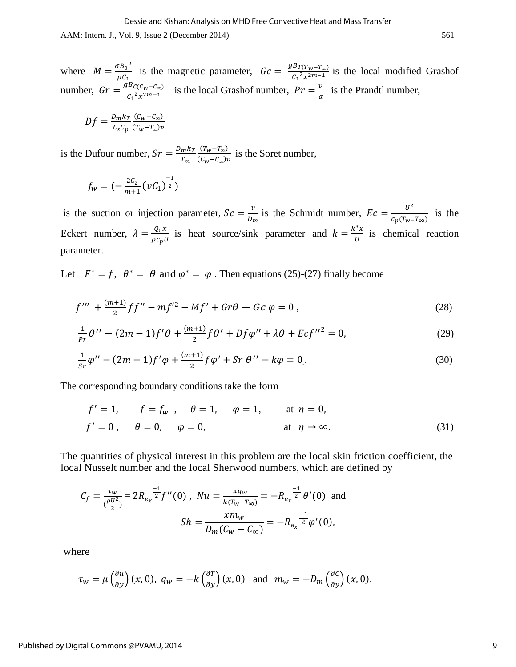where  $M = \frac{\sigma B_0^2}{\sigma^2}$  $\frac{\sigma B_0^2}{\rho C_1}$  is the magnetic parameter,  $Gc = \frac{g B_{T(T_W - T_\infty)}}{C_1^2 x^{2m-1}}$  $\frac{E_T(T_W - T_{\infty})}{C_1^2 x^{2m-1}}$  is the local modified Grashof number,  $Gr = \frac{g_{BC(C_W - C_{\infty})}}{C_1^2 \times 2^{m-1}}$  is the local Grashof number,  $Pr = \frac{v}{\alpha}$  is the Prandtl number,

$$
Df = \frac{D_m k_T}{c_s c_p} \frac{(c_w - c_\infty)}{(T_w - T_\infty)v}
$$

is the Dufour number,  $Sr = \frac{D}{A}$  $\overline{T}$  $(T_w-T_\infty)$  $\frac{(a_w - a_w)}{(c_w - c_w)v}$  is the Soret number,

$$
f_w = \left(-\frac{2C_2}{m+1}(\nu C_1)^{\frac{-1}{2}}\right)
$$

is the suction or injection parameter,  $Sc = \frac{v}{R}$  $rac{v}{v_m}$  is the Schmidt number,  $Ec = \frac{u^2}{c_p(T_w - u)}$  $\frac{0}{c_p(T_w-T_{\infty})}$  is the Eckert number,  $\lambda = \frac{Q_0 x}{\rho c_p v}$  is heat source/sink parameter and  $k = \frac{k^*}{v}$  $\frac{\partial}{\partial u}$  is chemical reaction parameter.

Let  $F^* = f$ ,  $\theta^* = \theta$  and  $\varphi^* = \varphi$ . Then equations (25)-(27) finally become

$$
f''' + \frac{(m+1)}{2}ff'' - mf'^2 - Mf' + Gr\theta + Gc\ \varphi = 0\,,\tag{28}
$$

$$
\frac{1}{pr}\theta'' - (2m - 1)f'\theta + \frac{(m+1)}{2}f\theta' + Df\phi'' + \lambda\theta + Ecf''^2 = 0,
$$
\n(29)

$$
\frac{1}{sc}\varphi'' - (2m - 1)f'\varphi + \frac{(m+1)}{2}f\varphi' + Sr \theta'' - k\varphi = 0.
$$
\n(30)

The corresponding boundary conditions take the form

$$
f' = 1, \t f = f_w, \t \theta = 1, \t \varphi = 1, \t at \t \eta = 0,
$$
  

$$
f' = 0, \t \theta = 0, \t \varphi = 0, \t at \t \eta \to \infty.
$$
 (31)

The quantities of physical interest in this problem are the local skin friction coefficient, the local Nusselt number and the local Sherwood numbers, which are defined by

$$
C_f = \frac{\tau_w}{(\frac{\rho U^2}{2})} = 2R_{e_x}^{\frac{-1}{2}} f''(0), \quad Nu = \frac{xq_w}{k(\tau_w - \tau_\infty)} = -R_{e_x}^{\frac{-1}{2}} \theta'(0) \text{ and}
$$

$$
Sh = \frac{xm_w}{D_m(C_w - C_\infty)} = -R_{e_x}^{\frac{-1}{2}} \phi'(0),
$$

where

$$
\tau_w = \mu \left(\frac{\partial u}{\partial y}\right)(x,0), \ q_w = -k \left(\frac{\partial T}{\partial y}\right)(x,0) \quad \text{and} \quad m_w = -D_m \left(\frac{\partial C}{\partial y}\right)(x,0).
$$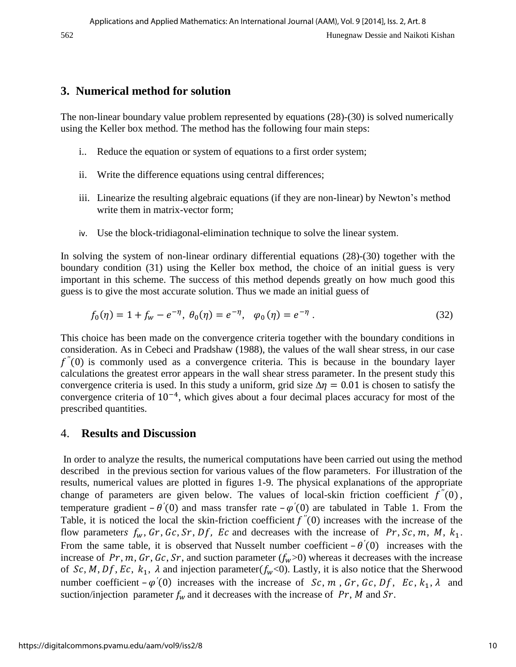# **3. Numerical method for solution**

The non-linear boundary value problem represented by equations (28)-(30) is solved numerically using the Keller box method. The method has the following four main steps:

- i.. Reduce the equation or system of equations to a first order system;
- ii. Write the difference equations using central differences;
- iii. Linearize the resulting algebraic equations (if they are non-linear) by Newton's method write them in matrix-vector form;
- iv. Use the block-tridiagonal-elimination technique to solve the linear system.

In solving the system of non-linear ordinary differential equations (28)-(30) together with the boundary condition (31) using the Keller box method, the choice of an initial guess is very important in this scheme. The success of this method depends greatly on how much good this guess is to give the most accurate solution. Thus we made an initial guess of

$$
f_0(\eta) = 1 + f_w - e^{-\eta}, \ \theta_0(\eta) = e^{-\eta}, \quad \varphi_0(\eta) = e^{-\eta} \ . \tag{32}
$$

This choice has been made on the convergence criteria together with the boundary conditions in consideration. As in Cebeci and Pradshaw (1988), the values of the wall shear stress, in our case  $f''(0)$  is commonly used as a convergence criteria. This is because in the boundary layer calculations the greatest error appears in the wall shear stress parameter. In the present study this convergence criteria is used. In this study a uniform, grid size  $\Delta \eta = 0.01$  is chosen to satisfy the convergence criteria of  $10^{-4}$ , which gives about a four decimal places accuracy for most of the prescribed quantities.

### 4. **Results and Discussion**

 In order to analyze the results, the numerical computations have been carried out using the method described in the previous section for various values of the flow parameters. For illustration of the results, numerical values are plotted in figures 1-9. The physical explanations of the appropriate change of parameters are given below. The values of local-skin friction coefficient  $f''(0)$ , temperature gradient  $-\theta'(0)$  and mass transfer rate  $-\varphi'(0)$  are tabulated in Table 1. From the Table, it is noticed the local the skin-friction coefficient  $f''(0)$  increases with the increase of the flow parameters  $f_w$ ,  $Gr$ ,  $Gc$ ,  $Sr$ ,  $Df$ ,  $Ec$  and decreases with the increase of  $Pr$ ,  $Sc$ ,  $m$ ,  $M$ ,  $k_1$ . From the same table, it is observed that Nusselt number coefficient  $-\theta'(0)$  increases with the increase of  $Pr$ ,  $m$ ,  $Gr$ ,  $Gc$ ,  $Sr$ , and suction parameter ( $f_w$ >0) whereas it decreases with the increase of Sc, M, Df, Ec,  $k_1$ ,  $\lambda$  and injection parameter( $f_w$ <0). Lastly, it is also notice that the Sherwood number coefficient  $-\varphi'(0)$  increases with the increase of Sc, m, Gr, Gc, Df, Ec,  $k_1$ ,  $\lambda$  and suction/injection parameter  $f_w$  and it decreases with the increase of Pr, M and Sr.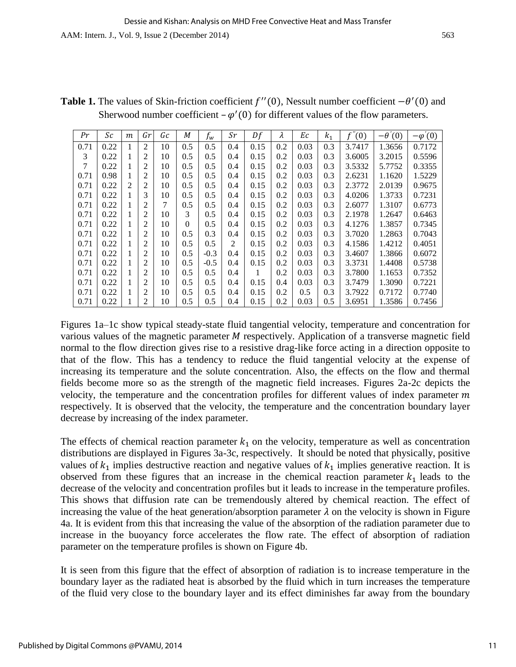| Pr   | Sc   | m              | Gr | Gc | М        | $f_w$  | $_{Sr}$ | Df   | λ   | Еc   | $k_1$ | $f^{\circ}$<br>(0) | $-\theta'(0)$ | $-\varphi'(0)$ |
|------|------|----------------|----|----|----------|--------|---------|------|-----|------|-------|--------------------|---------------|----------------|
| 0.71 | 0.22 |                | 2  | 10 | 0.5      | 0.5    | 0.4     | 0.15 | 0.2 | 0.03 | 0.3   | 3.7417             | 1.3656        | 0.7172         |
| 3    | 0.22 |                | 2  | 10 | 0.5      | 0.5    | 0.4     | 0.15 | 0.2 | 0.03 | 0.3   | 3.6005             | 3.2015        | 0.5596         |
| 7    | 0.22 |                | 2  | 10 | 0.5      | 0.5    | 0.4     | 0.15 | 0.2 | 0.03 | 0.3   | 3.5332             | 5.7752        | 0.3355         |
| 0.71 | 0.98 |                | 2  | 10 | 0.5      | 0.5    | 0.4     | 0.15 | 0.2 | 0.03 | 0.3   | 2.6231             | 1.1620        | 1.5229         |
| 0.71 | 0.22 | $\overline{2}$ | 2  | 10 | 0.5      | 0.5    | 0.4     | 0.15 | 0.2 | 0.03 | 0.3   | 2.3772             | 2.0139        | 0.9675         |
| 0.71 | 0.22 |                | 3  | 10 | 0.5      | 0.5    | 0.4     | 0.15 | 0.2 | 0.03 | 0.3   | 4.0206             | 1.3733        | 0.7231         |
| 0.71 | 0.22 |                | 2  | 7  | 0.5      | 0.5    | 0.4     | 0.15 | 0.2 | 0.03 | 0.3   | 2.6077             | 1.3107        | 0.6773         |
| 0.71 | 0.22 | Ι.             | 2  | 10 | 3        | 0.5    | 0.4     | 0.15 | 0.2 | 0.03 | 0.3   | 2.1978             | 1.2647        | 0.6463         |
| 0.71 | 0.22 |                | 2  | 10 | $\theta$ | 0.5    | 0.4     | 0.15 | 0.2 | 0.03 | 0.3   | 4.1276             | 1.3857        | 0.7345         |
| 0.71 | 0.22 |                | 2  | 10 | 0.5      | 0.3    | 0.4     | 0.15 | 0.2 | 0.03 | 0.3   | 3.7020             | 1.2863        | 0.7043         |
| 0.71 | 0.22 |                | 2  | 10 | 0.5      | 0.5    | 2       | 0.15 | 0.2 | 0.03 | 0.3   | 4.1586             | 1.4212        | 0.4051         |
| 0.71 | 0.22 |                | 2  | 10 | 0.5      | $-0.3$ | 0.4     | 0.15 | 0.2 | 0.03 | 0.3   | 3.4607             | 1.3866        | 0.6072         |
| 0.71 | 0.22 |                | 2  | 10 | 0.5      | $-0.5$ | 0.4     | 0.15 | 0.2 | 0.03 | 0.3   | 3.3731             | 1.4408        | 0.5738         |
| 0.71 | 0.22 |                | 2  | 10 | 0.5      | 0.5    | 0.4     | 1    | 0.2 | 0.03 | 0.3   | 3.7800             | 1.1653        | 0.7352         |
| 0.71 | 0.22 |                | 2  | 10 | 0.5      | 0.5    | 0.4     | 0.15 | 0.4 | 0.03 | 0.3   | 3.7479             | 1.3090        | 0.7221         |
| 0.71 | 0.22 |                | 2  | 10 | 0.5      | 0.5    | 0.4     | 0.15 | 0.2 | 0.5  | 0.3   | 3.7922             | 0.7172        | 0.7740         |
| 0.71 | 0.22 |                | 2  | 10 | 0.5      | 0.5    | 0.4     | 0.15 | 0.2 | 0.03 | 0.5   | 3.6951             | 1.3586        | 0.7456         |

**Table 1.** The values of Skin-friction coefficient  $f''(0)$ , Nessult number coefficient  $-\theta'(0)$  and Sherwood number coefficient  $-\varphi'(0)$  for different values of the flow parameters.

Figures 1a–1c show typical steady-state fluid tangential velocity, temperature and concentration for various values of the magnetic parameter  $M$  respectively. Application of a transverse magnetic field normal to the flow direction gives rise to a resistive drag-like force acting in a direction opposite to that of the flow. This has a tendency to reduce the fluid tangential velocity at the expense of increasing its temperature and the solute concentration. Also, the effects on the flow and thermal fields become more so as the strength of the magnetic field increases. Figures 2a-2c depicts the velocity, the temperature and the concentration profiles for different values of index parameter  $m$ respectively. It is observed that the velocity, the temperature and the concentration boundary layer decrease by increasing of the index parameter.

The effects of chemical reaction parameter  $k_1$  on the velocity, temperature as well as concentration distributions are displayed in Figures 3a-3c, respectively. It should be noted that physically, positive values of  $k_1$  implies destructive reaction and negative values of  $k_1$  implies generative reaction. It is observed from these figures that an increase in the chemical reaction parameter  $k_1$  leads to the decrease of the velocity and concentration profiles but it leads to increase in the temperature profiles. This shows that diffusion rate can be tremendously altered by chemical reaction. The effect of increasing the value of the heat generation/absorption parameter  $\lambda$  on the velocity is shown in Figure 4a. It is evident from this that increasing the value of the absorption of the radiation parameter due to increase in the buoyancy force accelerates the flow rate. The effect of absorption of radiation parameter on the temperature profiles is shown on Figure 4b.

It is seen from this figure that the effect of absorption of radiation is to increase temperature in the boundary layer as the radiated heat is absorbed by the fluid which in turn increases the temperature of the fluid very close to the boundary layer and its effect diminishes far away from the boundary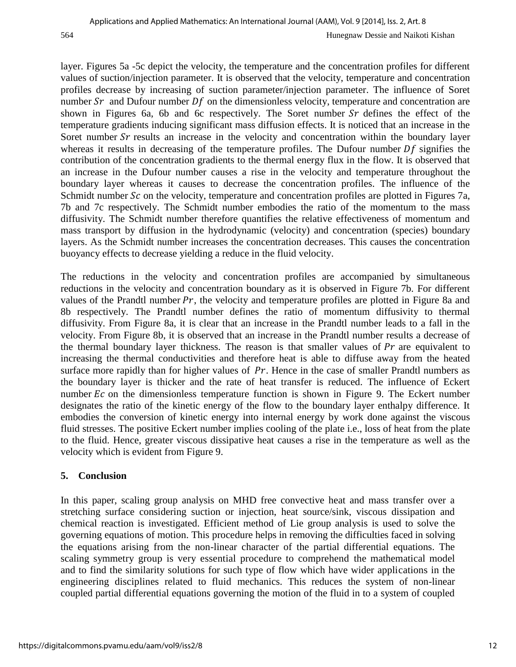layer. Figures 5a -5c depict the velocity, the temperature and the concentration profiles for different values of suction/injection parameter. It is observed that the velocity, temperature and concentration profiles decrease by increasing of suction parameter/injection parameter. The influence of Soret number  $Sr$  and Dufour number  $Df$  on the dimensionless velocity, temperature and concentration are shown in Figures 6a, 6b and 6c respectively. The Soret number  $Sr$  defines the effect of the temperature gradients inducing significant mass diffusion effects. It is noticed that an increase in the Soret number  $Sr$  results an increase in the velocity and concentration within the boundary layer whereas it results in decreasing of the temperature profiles. The Dufour number  $Df$  signifies the contribution of the concentration gradients to the thermal energy flux in the flow. It is observed that an increase in the Dufour number causes a rise in the velocity and temperature throughout the boundary layer whereas it causes to decrease the concentration profiles. The influence of the Schmidt number  $Sc$  on the velocity, temperature and concentration profiles are plotted in Figures 7a, 7b and 7c respectively. The Schmidt number embodies the ratio of the momentum to the mass diffusivity. The Schmidt number therefore quantifies the relative effectiveness of momentum and mass transport by diffusion in the hydrodynamic (velocity) and concentration (species) boundary layers. As the Schmidt number increases the concentration decreases. This causes the concentration buoyancy effects to decrease yielding a reduce in the fluid velocity.

The reductions in the velocity and concentration profiles are accompanied by simultaneous reductions in the velocity and concentration boundary as it is observed in Figure 7b. For different values of the Prandtl number  $Pr$ , the velocity and temperature profiles are plotted in Figure 8a and 8b respectively. The Prandtl number defines the ratio of momentum diffusivity to thermal diffusivity. From Figure 8a, it is clear that an increase in the Prandtl number leads to a fall in the velocity. From Figure 8b, it is observed that an increase in the Prandtl number results a decrease of the thermal boundary layer thickness. The reason is that smaller values of  $Pr$  are equivalent to increasing the thermal conductivities and therefore heat is able to diffuse away from the heated surface more rapidly than for higher values of  $Pr$ . Hence in the case of smaller Prandtl numbers as the boundary layer is thicker and the rate of heat transfer is reduced. The influence of Eckert number  $Ec$  on the dimensionless temperature function is shown in Figure 9. The Eckert number designates the ratio of the kinetic energy of the flow to the boundary layer enthalpy difference. It embodies the conversion of kinetic energy into internal energy by work done against the viscous fluid stresses. The positive Eckert number implies cooling of the plate i.e., loss of heat from the plate to the fluid. Hence, greater viscous dissipative heat causes a rise in the temperature as well as the velocity which is evident from Figure 9.

### **5. Conclusion**

In this paper, scaling group analysis on MHD free convective heat and mass transfer over a stretching surface considering suction or injection, heat source/sink, viscous dissipation and chemical reaction is investigated. Efficient method of Lie group analysis is used to solve the governing equations of motion. This procedure helps in removing the difficulties faced in solving the equations arising from the non-linear character of the partial differential equations. The scaling symmetry group is very essential procedure to comprehend the mathematical model and to find the similarity solutions for such type of flow which have wider applications in the engineering disciplines related to fluid mechanics. This reduces the system of non-linear coupled partial differential equations governing the motion of the fluid in to a system of coupled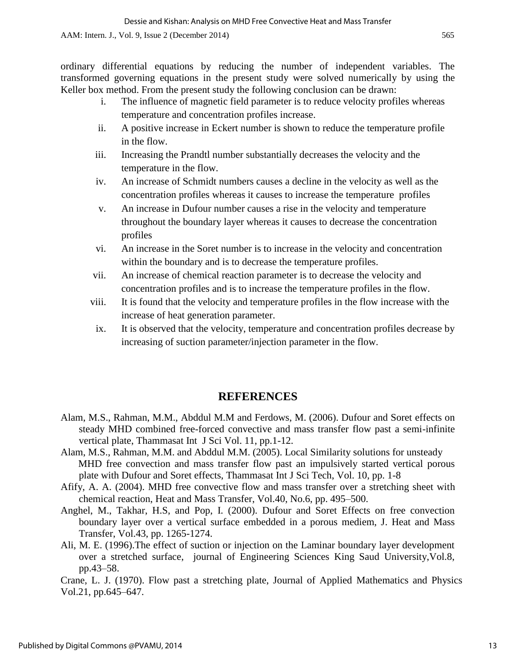ordinary differential equations by reducing the number of independent variables. The transformed governing equations in the present study were solved numerically by using the Keller box method. From the present study the following conclusion can be drawn:

- i. The influence of magnetic field parameter is to reduce velocity profiles whereas temperature and concentration profiles increase.
- ii. A positive increase in Eckert number is shown to reduce the temperature profile in the flow.
- iii. Increasing the Prandtl number substantially decreases the velocity and the temperature in the flow.
- iv. An increase of Schmidt numbers causes a decline in the velocity as well as the concentration profiles whereas it causes to increase the temperature profiles
- v. An increase in Dufour number causes a rise in the velocity and temperature throughout the boundary layer whereas it causes to decrease the concentration profiles
- vi. An increase in the Soret number is to increase in the velocity and concentration within the boundary and is to decrease the temperature profiles.
- vii. An increase of chemical reaction parameter is to decrease the velocity and concentration profiles and is to increase the temperature profiles in the flow.
- viii. It is found that the velocity and temperature profiles in the flow increase with the increase of heat generation parameter.
- ix. It is observed that the velocity, temperature and concentration profiles decrease by increasing of suction parameter/injection parameter in the flow.

#### **REFERENCES**

- Alam, M.S., Rahman, M.M., Abddul M.M and Ferdows, M. (2006). Dufour and Soret effects on steady MHD combined free-forced convective and mass transfer flow past a semi-infinite vertical plate, Thammasat Int J Sci Vol. 11, pp.1-12.
- Alam, M.S., Rahman, M.M. and Abddul M.M. (2005). Local Similarity solutions for unsteady MHD free convection and mass transfer flow past an impulsively started vertical porous plate with Dufour and Soret effects, Thammasat Int J Sci Tech, Vol. 10, pp. 1-8
- Afify, A. A. (2004). MHD free convective flow and mass transfer over a stretching sheet with chemical reaction, Heat and Mass Transfer, Vol.40, No.6, pp. 495–500.
- Anghel, M., Takhar, H.S, and Pop, I. (2000). Dufour and Soret Effects on free convection boundary layer over a vertical surface embedded in a porous mediem, J. Heat and Mass Transfer, Vol.43, pp. 1265-1274.
- Ali, M. E. (1996).The effect of suction or injection on the Laminar boundary layer development over a stretched surface, journal of Engineering Sciences King Saud University,Vol.8, pp.43–58.

Crane, L. J. (1970). Flow past a stretching plate, Journal of Applied Mathematics and Physics Vol.21, pp.645–647.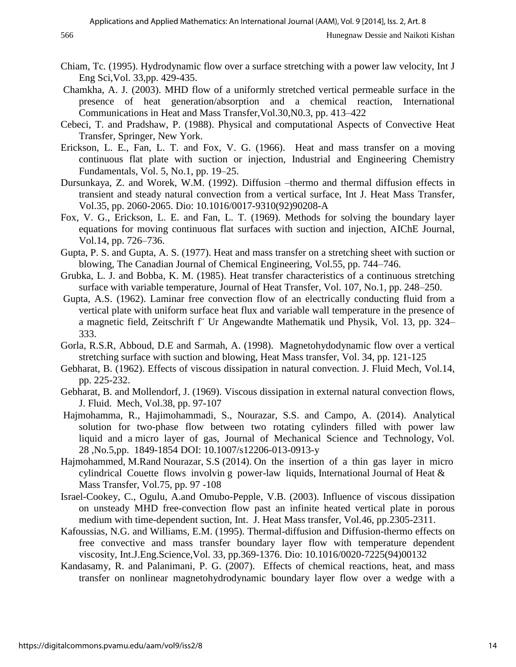- Chiam, Tc. (1995). Hydrodynamic flow over a surface stretching with a power law velocity, Int J Eng Sci,Vol. 33,pp. 429-435.
- Chamkha, A. J. (2003). MHD flow of a uniformly stretched vertical permeable surface in the presence of heat generation/absorption and a chemical reaction, International Communications in Heat and Mass Transfer,Vol.30,N0.3, pp. 413–422
- Cebeci, T. and Pradshaw, P. (1988). Physical and computational Aspects of Convective Heat Transfer, Springer, New York.
- Erickson, L. E., Fan, L. T. and Fox, V. G. (1966). Heat and mass transfer on a moving continuous flat plate with suction or injection, Industrial and Engineering Chemistry Fundamentals, Vol. 5, No.1, pp. 19–25.
- Dursunkaya, Z. and Worek, W.M. (1992). Diffusion –thermo and thermal diffusion effects in transient and steady natural convection from a vertical surface, Int J. Heat Mass Transfer, Vol.35, pp. 2060-2065. Dio: 10.1016/0017-9310(92)90208-A
- Fox, V. G., Erickson, L. E. and Fan, L. T. (1969). Methods for solving the boundary layer equations for moving continuous flat surfaces with suction and injection, AIChE Journal, Vol.14, pp. 726–736.
- Gupta, P. S. and Gupta, A. S. (1977). Heat and mass transfer on a stretching sheet with suction or blowing, The Canadian Journal of Chemical Engineering, Vol.55, pp. 744–746.
- Grubka, L. J. and Bobba, K. M. (1985). Heat transfer characteristics of a continuous stretching surface with variable temperature, Journal of Heat Transfer, Vol. 107, No.1, pp. 248–250.
- Gupta, A.S. (1962). Laminar free convection flow of an electrically conducting fluid from a vertical plate with uniform surface heat flux and variable wall temperature in the presence of a magnetic field, Zeitschrift f¨ Ur Angewandte Mathematik und Physik, Vol. 13, pp. 324– 333.
- Gorla, R.S.R, Abboud, D.E and Sarmah, A. (1998). Magnetohydodynamic flow over a vertical stretching surface with suction and blowing, Heat Mass transfer, Vol. 34, pp. 121-125
- Gebharat, B. (1962). Effects of viscous dissipation in natural convection. J. Fluid Mech, Vol.14, pp. 225-232.
- Gebharat, B. and Mollendorf, J. (1969). Viscous dissipation in external natural convection flows, J. Fluid. Mech, Vol.38, pp. 97-107
- Hajmohamma, R., Hajimohammadi, S., Nourazar, S.S. and Campo, A. (2014). Analytical solution for two-phase flow between two rotating cylinders filled with power law liquid and a micro layer of gas, Journal of Mechanical Science and Technology, Vol. 28 ,No.5,pp. 1849-1854 DOI: 10.1007/s12206-013-0913-y
- Hajmohammed, M.Rand Nourazar, S.S (2014). On the insertion of a thin gas layer in micro cylindrical Couette flows involvin g power-law liquids, International Journal of Heat & Mass Transfer, Vol.75, pp. 97 -108
- Israel-Cookey, C., Ogulu, A.and Omubo-Pepple, V.B. (2003). Influence of viscous dissipation on unsteady MHD free-convection flow past an infinite heated vertical plate in porous medium with time-dependent suction, Int. J. Heat Mass transfer, Vol.46, pp.2305-2311.
- Kafoussias, N.G. and Williams, E.M. (1995). Thermal-diffusion and Diffusion-thermo effects on free convective and mass transfer boundary layer flow with temperature dependent viscosity, Int.J.Eng.Science,Vol. 33, pp.369-1376. Dio: 10.1016/0020-7225(94)00132
- Kandasamy, R. and Palanimani, P. G. (2007). Effects of chemical reactions, heat, and mass transfer on nonlinear magnetohydrodynamic boundary layer flow over a wedge with a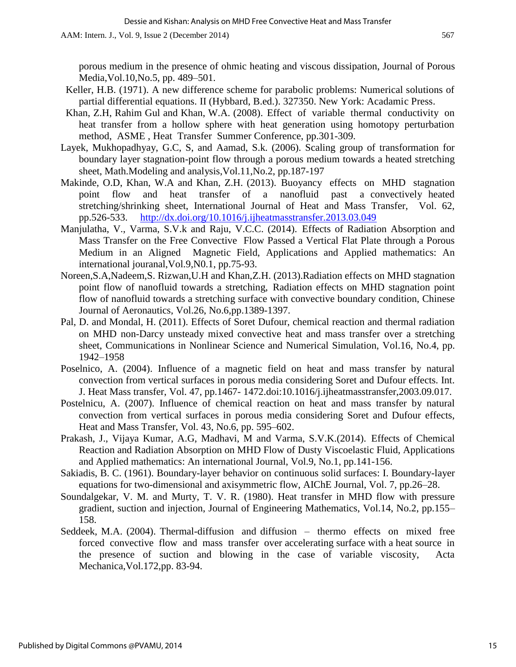porous medium in the presence of ohmic heating and viscous dissipation, Journal of Porous Media,Vol.10,No.5, pp. 489–501.

- Keller, H.B. (1971). A new difference scheme for parabolic problems: Numerical solutions of partial differential equations. II (Hybbard, B.ed.). 327350. New York: Acadamic Press.
- Khan, Z.H, Rahim Gul and Khan, W.A. (2008). Effect of variable thermal conductivity on heat transfer from a hollow sphere with heat generation using homotopy perturbation method, ASME , Heat Transfer Summer Conference, pp.301-309.
- Layek, Mukhopadhyay, G.C, S, and Aamad, S.k. (2006). Scaling group of transformation for boundary layer stagnation-point flow through a porous medium towards a heated stretching sheet, Math.Modeling and analysis,Vol.11,No.2, pp.187-197
- Makinde, O.D, Khan, W.A and Khan, Z.H. (2013). Buoyancy effects on MHD stagnation point flow and heat transfer of a nanofluid past a convectively heated stretching/shrinking sheet, International Journal of Heat and Mass Transfer, Vol. 62, pp.526-533. <http://dx.doi.org/10.1016/j.ijheatmasstransfer.2013.03.049>
- Manjulatha, V., Varma, S.V.k and Raju, V.C.C. (2014). Effects of Radiation Absorption and Mass Transfer on the Free Convective Flow Passed a Vertical Flat Plate through a Porous Medium in an Aligned Magnetic Field, Applications and Applied mathematics: An international jouranal,Vol.9,N0.1, pp.75-93.
- Noreen,S.A,Nadeem,S. Rizwan,U.H and Khan,Z.H. (2013).Radiation effects on MHD stagnation point flow of nanofluid towards a stretching, Radiation effects on MHD stagnation point flow of nanofluid towards a stretching surface with convective boundary condition, Chinese Journal of Aeronautics, Vol.26, No.6,pp.1389-1397.
- Pal, D. and Mondal, H. (2011). Effects of Soret Dufour, chemical reaction and thermal radiation on MHD non-Darcy unsteady mixed convective heat and mass transfer over a stretching sheet, Communications in Nonlinear Science and Numerical Simulation, Vol.16, No.4, pp. 1942–1958
- Poselnico, A. (2004). Influence of a magnetic field on heat and mass transfer by natural convection from vertical surfaces in porous media considering Soret and Dufour effects. Int. J. Heat Mass transfer, Vol. 47, pp.1467- 1472.doi:10.1016/j.ijheatmasstransfer,2003.09.017.
- Postelnicu, A. (2007). Influence of chemical reaction on heat and mass transfer by natural convection from vertical surfaces in porous media considering Soret and Dufour effects, Heat and Mass Transfer, Vol. 43, No.6, pp. 595–602.
- Prakash, J., Vijaya Kumar, A.G, Madhavi, M and Varma, S.V.K.(2014). Effects of Chemical Reaction and Radiation Absorption on MHD Flow of Dusty Viscoelastic Fluid, Applications and Applied mathematics: An international Journal, Vol.9, No.1, pp.141-156.
- Sakiadis, B. C. (1961). Boundary-layer behavior on continuous solid surfaces: I. Boundary-layer equations for two-dimensional and axisymmetric flow, AIChE Journal, Vol. 7, pp.26–28.
- Soundalgekar, V. M. and Murty, T. V. R. (1980). Heat transfer in MHD flow with pressure gradient, suction and injection, Journal of Engineering Mathematics, Vol.14, No.2, pp.155– 158.
- Seddeek, M.A. (2004). Thermal-diffusion and diffusion thermo effects on mixed free forced convective flow and mass transfer over accelerating surface with a heat source in the presence of suction and blowing in the case of variable viscosity, Acta Mechanica,Vol.172,pp. 83-94.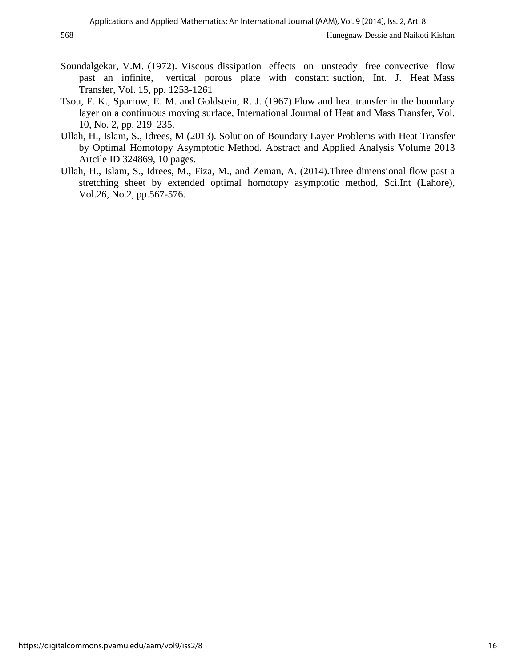- Soundalgekar, V.M. (1972). Viscous dissipation effects on unsteady free convective flow past an infinite, vertical porous plate with constant suction, Int. J. Heat Mass Transfer, Vol. 15, pp. 1253-1261
- Tsou, F. K., Sparrow, E. M. and Goldstein, R. J. (1967).Flow and heat transfer in the boundary layer on a continuous moving surface, International Journal of Heat and Mass Transfer, Vol. 10, No. 2, pp. 219–235.
- Ullah, H., Islam, S., Idrees, M (2013). Solution of Boundary Layer Problems with Heat Transfer by Optimal Homotopy Asymptotic Method. Abstract and Applied Analysis Volume 2013 Artcile ID 324869, 10 pages.
- Ullah, H., Islam, S., Idrees, M., Fiza, M., and Zeman, A. (2014).Three dimensional flow past a stretching sheet by extended optimal homotopy asymptotic method, Sci.Int (Lahore), Vol.26, No.2, pp.567-576.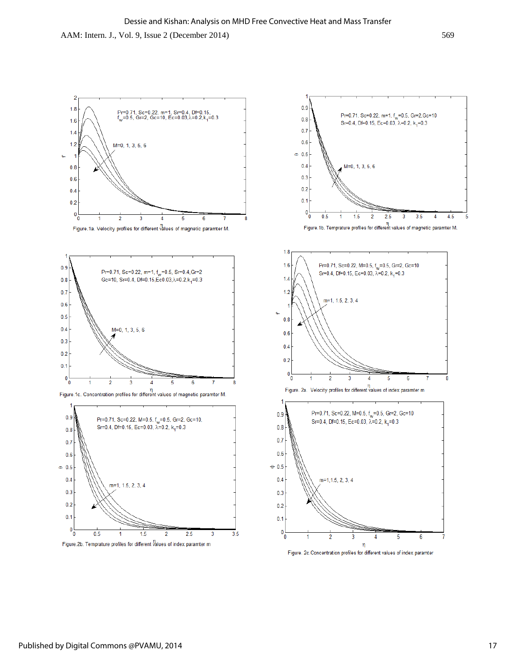

Figure. 2c. Concentration profiles for different values of index paramter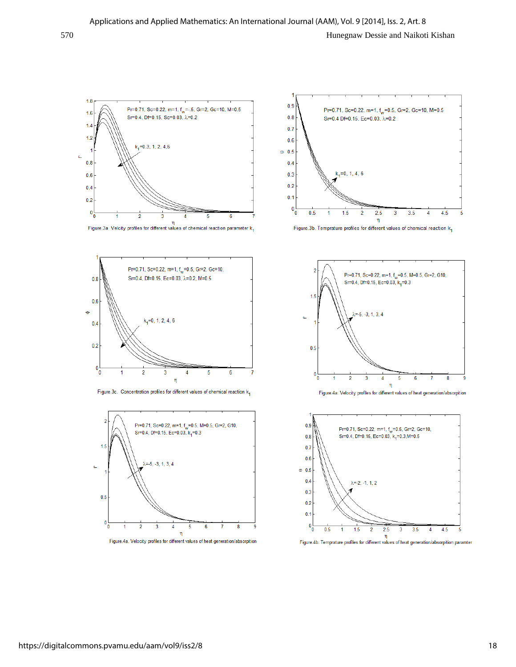

Figure.3a Velcity profiles for different values of chemical reaction parameter  $k_1$ 



Figure.3c. Concentration profiles for different values of chemical reaction k<sub>1</sub>



Figure.4a. Velocity profiles for different values of heat generation/absorpition



Figure.3b. Temprature profiles for different values of chemical reaction  $k_1$ 





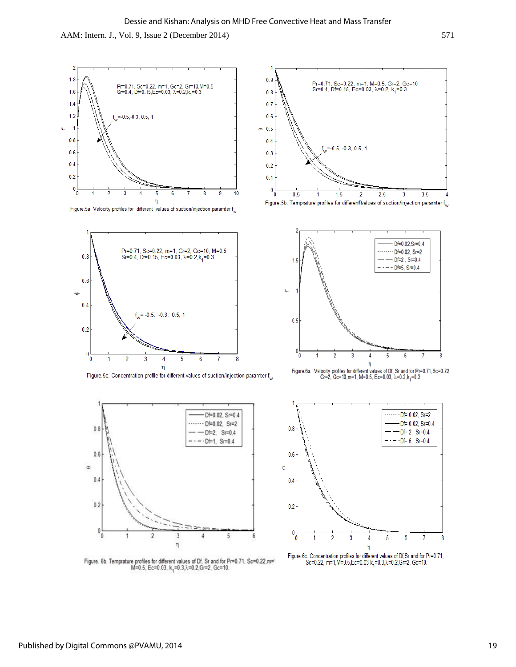